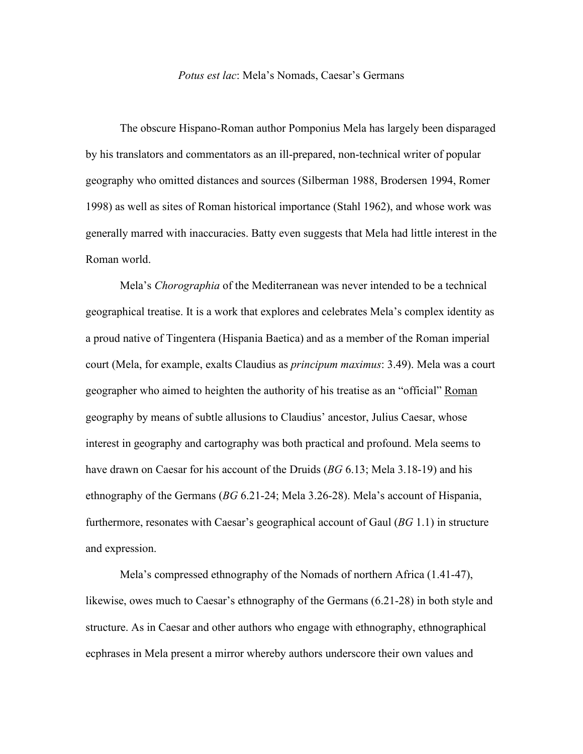## *Potus est lac*: Mela's Nomads, Caesar's Germans

The obscure Hispano-Roman author Pomponius Mela has largely been disparaged by his translators and commentators as an ill-prepared, non-technical writer of popular geography who omitted distances and sources (Silberman 1988, Brodersen 1994, Romer 1998) as well as sites of Roman historical importance (Stahl 1962), and whose work was generally marred with inaccuracies. Batty even suggests that Mela had little interest in the Roman world.

Mela's *Chorographia* of the Mediterranean was never intended to be a technical geographical treatise. It is a work that explores and celebrates Mela's complex identity as a proud native of Tingentera (Hispania Baetica) and as a member of the Roman imperial court (Mela, for example, exalts Claudius as *principum maximus*: 3.49). Mela was a court geographer who aimed to heighten the authority of his treatise as an "official" Roman geography by means of subtle allusions to Claudius' ancestor, Julius Caesar, whose interest in geography and cartography was both practical and profound. Mela seems to have drawn on Caesar for his account of the Druids (*BG* 6.13; Mela 3.18-19) and his ethnography of the Germans (*BG* 6.21-24; Mela 3.26-28). Mela's account of Hispania, furthermore, resonates with Caesar's geographical account of Gaul (*BG* 1.1) in structure and expression.

Mela's compressed ethnography of the Nomads of northern Africa (1.41-47), likewise, owes much to Caesar's ethnography of the Germans (6.21-28) in both style and structure. As in Caesar and other authors who engage with ethnography, ethnographical ecphrases in Mela present a mirror whereby authors underscore their own values and